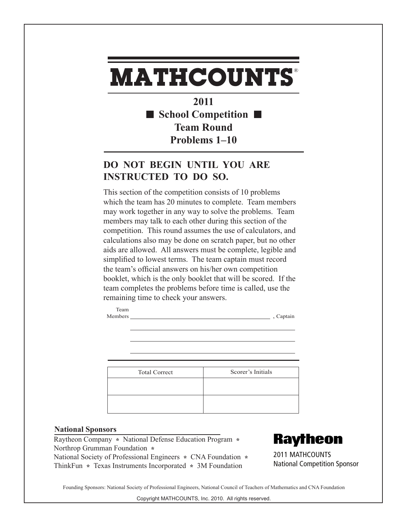## **MATHCOUNTS** ®

**2011 School Competition Team Round Problems 1–10**

## **DO NOT BEGIN UNTIL YOU ARE INSTRUCTED TO DO SO.**

This section of the competition consists of 10 problems which the team has 20 minutes to complete. Team members may work together in any way to solve the problems. Team members may talk to each other during this section of the competition. This round assumes the use of calculators, and calculations also may be done on scratch paper, but no other aids are allowed. All answers must be complete, legible and simplified to lowest terms. The team captain must record the team's official answers on his/her own competition booklet, which is the only booklet that will be scored. If the team completes the problems before time is called, use the remaining time to check your answers.

| Scorer's Initials |
|-------------------|
|                   |

Members , Captain , Captain , Captain , Captain , Captain , Captain , Captain , Captain , Captain , Captain , Captain , Captain , Captain , Captain , Captain , Captain , Captain , Captain , Captain , Captain , Captain , Ca

## **National Sponsors**

Raytheon Company **\*** National Defense Education Program **\***  Northrop Grumman Foundation **\***  National Society of Professional Engineers **\*** CNA Foundation **\***  ThinkFun **\*** Texas Instruments Incorporated **\*** 3M Foundation

Team



2011 MATHCOUNTS National Competition Sponsor

Founding Sponsors: National Society of Professional Engineers, National Council of Teachers of Mathematics and CNA Foundation

Copyright MATHCOUNTS, Inc. 2010. All rights reserved.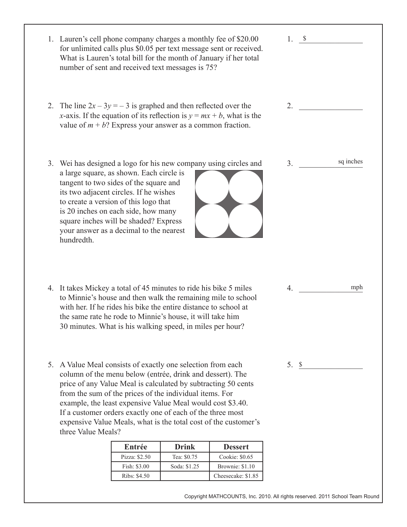| 1. Lauren's cell phone company charges a monthly fee of \$20.00<br>What is Lauren's total bill for the month of January if her total<br>number of sent and received text messages is 75?                                                                                                                                                                                                                                                                                              |               |              | for unlimited calls plus \$0.05 per text message sent or received.      | 1.             |           |  |
|---------------------------------------------------------------------------------------------------------------------------------------------------------------------------------------------------------------------------------------------------------------------------------------------------------------------------------------------------------------------------------------------------------------------------------------------------------------------------------------|---------------|--------------|-------------------------------------------------------------------------|----------------|-----------|--|
| 2. The line $2x - 3y = -3$ is graphed and then reflected over the<br>value of $m + b$ ? Express your answer as a common fraction.                                                                                                                                                                                                                                                                                                                                                     |               |              | x-axis. If the equation of its reflection is $y = mx + b$ , what is the | 2.             |           |  |
| 3. Wei has designed a logo for his new company using circles and<br>a large square, as shown. Each circle is<br>tangent to two sides of the square and<br>its two adjacent circles. If he wishes<br>to create a version of this logo that<br>is 20 inches on each side, how many<br>square inches will be shaded? Express<br>your answer as a decimal to the nearest<br>hundredth.                                                                                                    |               |              |                                                                         | 3 <sub>1</sub> | sq inches |  |
| 4. It takes Mickey a total of 45 minutes to ride his bike 5 miles<br>to Minnie's house and then walk the remaining mile to school<br>with her. If he rides his bike the entire distance to school at<br>the same rate he rode to Minnie's house, it will take him<br>30 minutes. What is his walking speed, in miles per hour?                                                                                                                                                        |               | 4.           | mph                                                                     |                |           |  |
| 5. A Value Meal consists of exactly one selection from each<br>$5. \ S$<br>column of the menu below (entrée, drink and dessert). The<br>price of any Value Meal is calculated by subtracting 50 cents<br>from the sum of the prices of the individual items. For<br>example, the least expensive Value Meal would cost \$3.40.<br>If a customer orders exactly one of each of the three most<br>expensive Value Meals, what is the total cost of the customer's<br>three Value Meals? |               |              |                                                                         |                |           |  |
|                                                                                                                                                                                                                                                                                                                                                                                                                                                                                       | Entrée        | <b>Drink</b> | <b>Dessert</b>                                                          |                |           |  |
|                                                                                                                                                                                                                                                                                                                                                                                                                                                                                       | Pizza: \$2.50 | Tea: \$0.75  | Cookie: \$0.65                                                          |                |           |  |
|                                                                                                                                                                                                                                                                                                                                                                                                                                                                                       | Fish: \$3.00  | Soda: \$1.25 | Brownie: \$1.10                                                         |                |           |  |
|                                                                                                                                                                                                                                                                                                                                                                                                                                                                                       | Ribs: \$4.50  |              | Cheesecake: \$1.85                                                      |                |           |  |
|                                                                                                                                                                                                                                                                                                                                                                                                                                                                                       |               |              |                                                                         |                |           |  |

Copyright MATHCOUNTS, Inc. 2010. All rights reserved. 2011 School Team Round